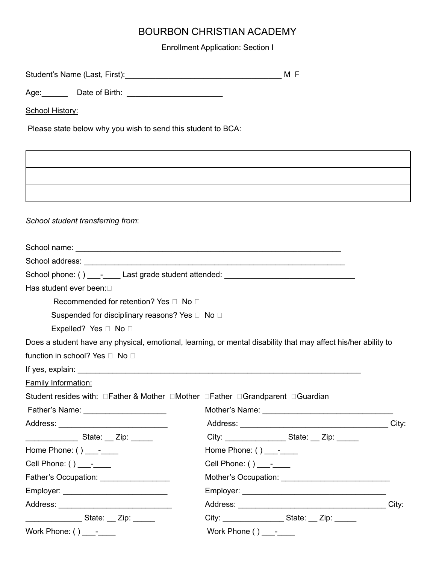Enrollment Application: Section I

| Age: Date of Birth: ________________________                 |                                                                                                                                                                                                                                                                                                                                                |  |
|--------------------------------------------------------------|------------------------------------------------------------------------------------------------------------------------------------------------------------------------------------------------------------------------------------------------------------------------------------------------------------------------------------------------|--|
| School History:                                              |                                                                                                                                                                                                                                                                                                                                                |  |
| Please state below why you wish to send this student to BCA: |                                                                                                                                                                                                                                                                                                                                                |  |
|                                                              |                                                                                                                                                                                                                                                                                                                                                |  |
|                                                              |                                                                                                                                                                                                                                                                                                                                                |  |
|                                                              |                                                                                                                                                                                                                                                                                                                                                |  |
|                                                              |                                                                                                                                                                                                                                                                                                                                                |  |
| School student transferring from:                            |                                                                                                                                                                                                                                                                                                                                                |  |
|                                                              |                                                                                                                                                                                                                                                                                                                                                |  |
|                                                              |                                                                                                                                                                                                                                                                                                                                                |  |
|                                                              | School phone: () __________Last grade student attended: _________________________                                                                                                                                                                                                                                                              |  |
| Has student ever been:                                       |                                                                                                                                                                                                                                                                                                                                                |  |
| Recommended for retention? Yes □ No □                        |                                                                                                                                                                                                                                                                                                                                                |  |
| Suspended for disciplinary reasons? Yes □ No □               |                                                                                                                                                                                                                                                                                                                                                |  |
| Expelled? Yes □ No □                                         |                                                                                                                                                                                                                                                                                                                                                |  |
|                                                              | Does a student have any physical, emotional, learning, or mental disability that may affect his/her ability to                                                                                                                                                                                                                                 |  |
| function in school? Yes □ No □                               |                                                                                                                                                                                                                                                                                                                                                |  |
|                                                              |                                                                                                                                                                                                                                                                                                                                                |  |
| <b>Family Information:</b>                                   |                                                                                                                                                                                                                                                                                                                                                |  |
|                                                              | Student resides with: □Father & Mother □Mother □Father □Grandparent □Guardian                                                                                                                                                                                                                                                                  |  |
| Father's Name: ______________________                        |                                                                                                                                                                                                                                                                                                                                                |  |
|                                                              |                                                                                                                                                                                                                                                                                                                                                |  |
| ___________________State: ___ Zip: _______                   | City: _________________________State: ___ Zip: _______                                                                                                                                                                                                                                                                                         |  |
| Home Phone: $()$ -                                           | Home Phone: $()$ ________                                                                                                                                                                                                                                                                                                                      |  |
| Cell Phone: $()$ -                                           | Cell Phone: $()$ -                                                                                                                                                                                                                                                                                                                             |  |
|                                                              |                                                                                                                                                                                                                                                                                                                                                |  |
|                                                              |                                                                                                                                                                                                                                                                                                                                                |  |
|                                                              |                                                                                                                                                                                                                                                                                                                                                |  |
| _____________State: ___ Zip: ______                          | City: ___________________________State: ___ Zip: _______                                                                                                                                                                                                                                                                                       |  |
|                                                              | Work Phone ( ) $\frac{1}{\sqrt{2}}$ – $\frac{1}{\sqrt{2}}$ – $\frac{1}{\sqrt{2}}$ – $\frac{1}{\sqrt{2}}$ – $\frac{1}{\sqrt{2}}$ – $\frac{1}{\sqrt{2}}$ – $\frac{1}{\sqrt{2}}$ – $\frac{1}{\sqrt{2}}$ – $\frac{1}{\sqrt{2}}$ – $\frac{1}{\sqrt{2}}$ – $\frac{1}{\sqrt{2}}$ – $\frac{1}{\sqrt{2}}$ – $\frac{1}{\sqrt{2}}$ – $\frac{1}{\sqrt{2}}$ |  |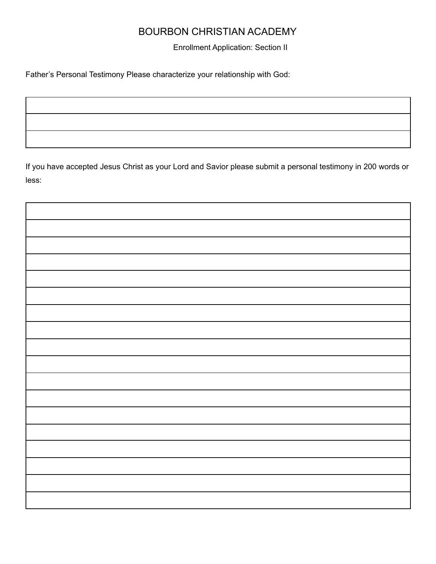Enrollment Application: Section II

Father's Personal Testimony Please characterize your relationship with God:

If you have accepted Jesus Christ as your Lord and Savior please submit a personal testimony in 200 words or less: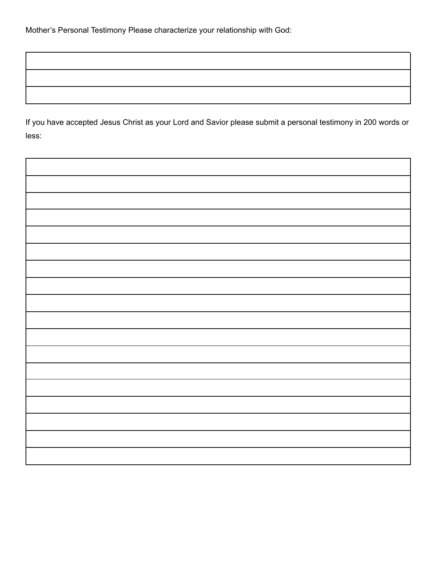If you have accepted Jesus Christ as your Lord and Savior please submit a personal testimony in 200 words or less:

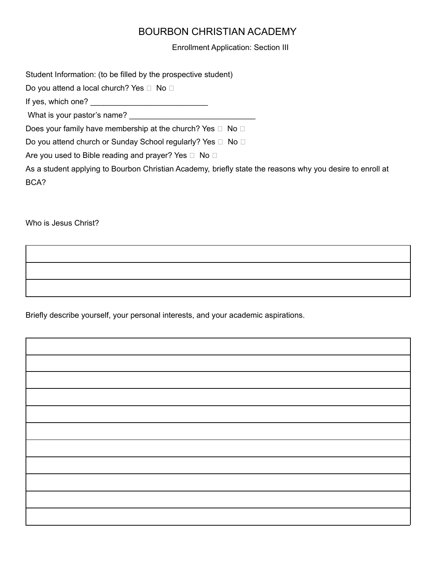Enrollment Application: Section III

Student Information: (to be filled by the prospective student)

Do you attend a local church? Yes  $\Box$  No  $\Box$ 

If yes, which one?

What is your pastor's name?

Does your family have membership at the church? Yes  $\Box$  No  $\Box$ 

Do you attend church or Sunday School regularly? Yes  $\Box$  No  $\Box$ 

Are you used to Bible reading and prayer? Yes  $\Box$  No  $\Box$ 

As a student applying to Bourbon Christian Academy, briefly state the reasons why you desire to enroll at BCA?

Who is Jesus Christ?

Briefly describe yourself, your personal interests, and your academic aspirations.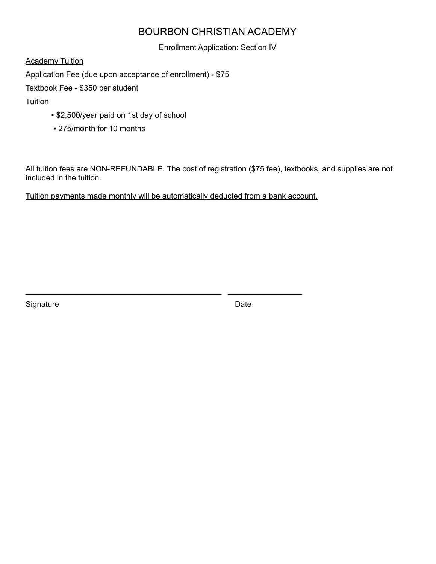Enrollment Application: Section IV

**Academy Tuition** 

Application Fee (due upon acceptance of enrollment) - \$75

Textbook Fee - \$350 per student

**Tuition** 

- \$2,500/year paid on 1st day of school
- 275/month for 10 months

All tuition fees are NON-REFUNDABLE. The cost of registration (\$75 fee), textbooks, and supplies are not included in the tuition.

Tuition payments made monthly will be automatically deducted from a bank account.

\_\_\_\_\_\_\_\_\_\_\_\_\_\_\_\_\_\_\_\_\_\_\_\_\_\_\_\_\_\_\_\_\_\_\_\_\_\_\_\_\_\_\_\_\_ \_\_\_\_\_\_\_\_\_\_\_\_\_\_\_\_\_

Signature Date **Date**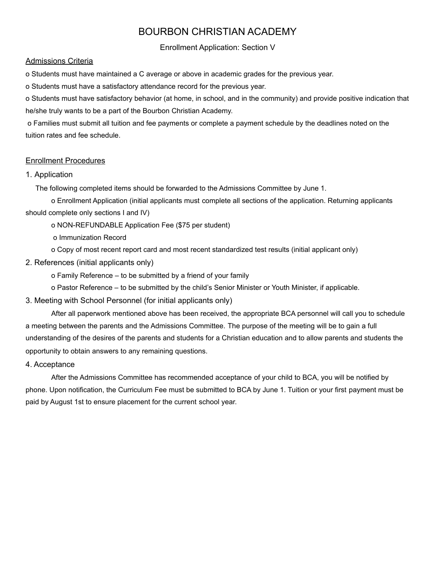Enrollment Application: Section V

#### Admissions Criteria

o Students must have maintained a C average or above in academic grades for the previous year.

o Students must have a satisfactory attendance record for the previous year.

o Students must have satisfactory behavior (at home, in school, and in the community) and provide positive indication that he/she truly wants to be a part of the Bourbon Christian Academy.

o Families must submit all tuition and fee payments or complete a payment schedule by the deadlines noted on the tuition rates and fee schedule.

## Enrollment Procedures

## 1. Application

The following completed items should be forwarded to the Admissions Committee by June 1.

o Enrollment Application (initial applicants must complete all sections of the application. Returning applicants should complete only sections I and IV)

o NON-REFUNDABLE Application Fee (\$75 per student)

o Immunization Record

o Copy of most recent report card and most recent standardized test results (initial applicant only)

## 2. References (initial applicants only)

o Family Reference – to be submitted by a friend of your family

o Pastor Reference – to be submitted by the child's Senior Minister or Youth Minister, if applicable.

3. Meeting with School Personnel (for initial applicants only)

After all paperwork mentioned above has been received, the appropriate BCA personnel will call you to schedule a meeting between the parents and the Admissions Committee. The purpose of the meeting will be to gain a full understanding of the desires of the parents and students for a Christian education and to allow parents and students the opportunity to obtain answers to any remaining questions.

## 4. Acceptance

After the Admissions Committee has recommended acceptance of your child to BCA, you will be notified by phone. Upon notification, the Curriculum Fee must be submitted to BCA by June 1. Tuition or your first payment must be paid by August 1st to ensure placement for the current school year.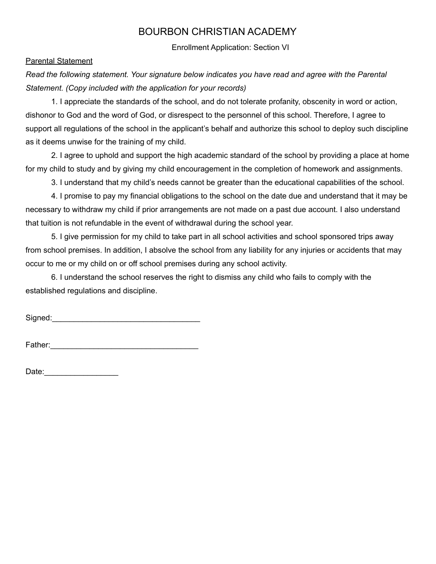Enrollment Application: Section VI

#### Parental Statement

*Read the following statement. Your signature below indicates you have read and agree with the Parental Statement. (Copy included with the application for your records)*

1. I appreciate the standards of the school, and do not tolerate profanity, obscenity in word or action, dishonor to God and the word of God, or disrespect to the personnel of this school. Therefore, I agree to support all regulations of the school in the applicant's behalf and authorize this school to deploy such discipline as it deems unwise for the training of my child.

2. I agree to uphold and support the high academic standard of the school by providing a place at home for my child to study and by giving my child encouragement in the completion of homework and assignments.

3. I understand that my child's needs cannot be greater than the educational capabilities of the school.

4. I promise to pay my financial obligations to the school on the date due and understand that it may be necessary to withdraw my child if prior arrangements are not made on a past due account. I also understand that tuition is not refundable in the event of withdrawal during the school year.

5. I give permission for my child to take part in all school activities and school sponsored trips away from school premises. In addition, I absolve the school from any liability for any injuries or accidents that may occur to me or my child on or off school premises during any school activity.

6. I understand the school reserves the right to dismiss any child who fails to comply with the established regulations and discipline.

Signed:\_\_\_\_\_\_\_\_\_\_\_\_\_\_\_\_\_\_\_\_\_\_\_\_\_\_\_\_\_\_\_\_\_\_

Father:\_\_\_\_\_\_\_\_\_\_\_\_\_\_\_\_\_\_\_\_\_\_\_\_\_\_\_\_\_\_\_\_\_\_

Date:\_\_\_\_\_\_\_\_\_\_\_\_\_\_\_\_\_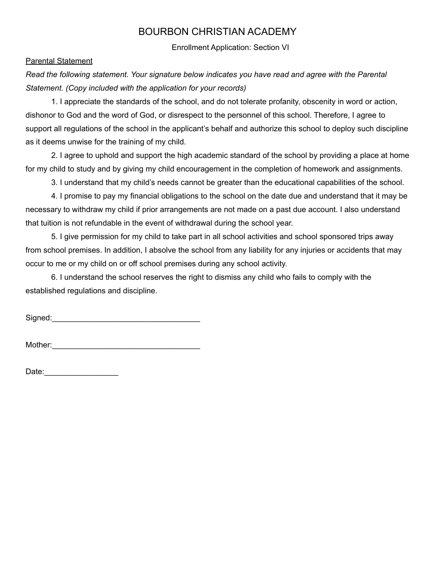Enrollment Application: Section VI

#### Parental Statement

*Read the following statement. Your signature below indicates you have read and agree with the Parental Statement. (Copy included with the application for your records)*

1. I appreciate the standards of the school, and do not tolerate profanity, obscenity in word or action, dishonor to God and the word of God, or disrespect to the personnel of this school. Therefore, I agree to support all regulations of the school in the applicant's behalf and authorize this school to deploy such discipline as it deems unwise for the training of my child.

2. I agree to uphold and support the high academic standard of the school by providing a place at home for my child to study and by giving my child encouragement in the completion of homework and assignments.

3. I understand that my child's needs cannot be greater than the educational capabilities of the school.

4. I promise to pay my financial obligations to the school on the date due and understand that it may be necessary to withdraw my child if prior arrangements are not made on a past due account. I also understand that tuition is not refundable in the event of withdrawal during the school year.

5. I give permission for my child to take part in all school activities and school sponsored trips away from school premises. In addition, I absolve the school from any liability for any injuries or accidents that may occur to me or my child on or off school premises during any school activity.

6. I understand the school reserves the right to dismiss any child who fails to comply with the established regulations and discipline.

Signed:\_\_\_\_\_\_\_\_\_\_\_\_\_\_\_\_\_\_\_\_\_\_\_\_\_\_\_\_\_\_\_\_\_\_

Mother:

Date:\_\_\_\_\_\_\_\_\_\_\_\_\_\_\_\_\_